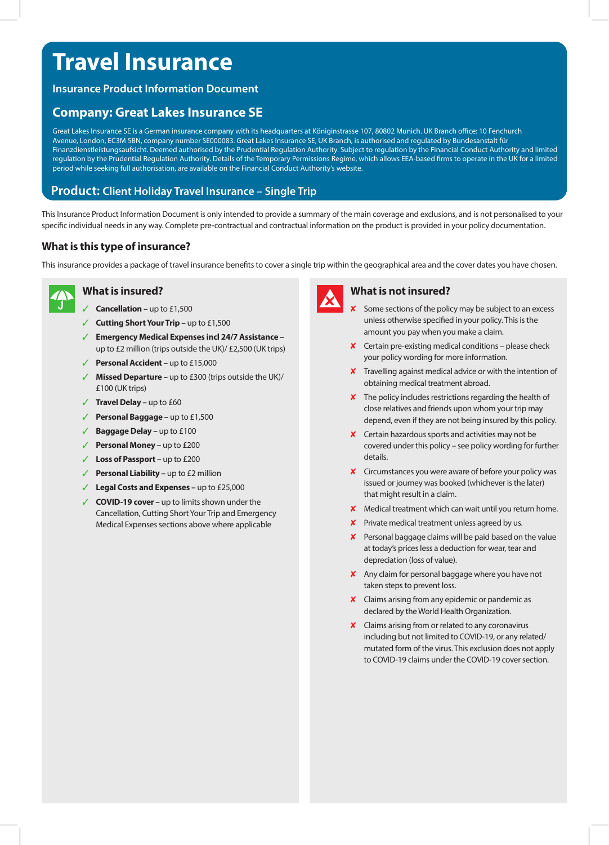# **Travel Insurance**

# **Insurance Product Information Document**

# **Company: Great Lakes Insurance SE**

Great Lakes Insurance SE is a German insurance company with its headquarters at Königinstrasse 107, 80802 Munich. UK Branch office: 10 Fenchurch Avenue, London, EC3M 5BN, company number SE000083. Great Lakes Insurance SE, UK Branch, is authorised and regulated by Bundesanstalt für Finanzdienstleistungsaufsicht. Deemed authorised by the Prudential Regulation Authority. Subject to regulation by the Financial Conduct Authority and limited regulation by the Prudential Regulation Authority. Details of the Temporary Permissions Regime, which allows EEA-based firms to operate in the UK for a limited period while seeking full authorisation, are available on the Financial Conduct Authority's website.

# **Product: Client Holiday Travel Insurance – Single Trip**

This Insurance Product Information Document is only intended to provide a summary of the main coverage and exclusions, and is not personalised to your specific individual needs in any way. Complete pre-contractual and contractual information on the product is provided in your policy documentation.

### **What is this type of insurance?**

This insurance provides a package of travel insurance benefits to cover a single trip within the geographical area and the cover dates you have chosen.



# **What is insured?**

- **Cancellation up to £1,500**
- **Cutting Short Your Trip up to £1,500**
- ✓ **Emergency Medical Expenses incl 24/7 Assistance**  up to £2 million (trips outside the UK)/ £2,500 (UK trips)
- **Personal Accident up to £15,000**
- **Missed Departure –** up to £300 (trips outside the UK)/ £100 (UK trips)
- ✓ **Travel Delay** up to £60
- Personal Baggage up to £1,500
- **Baggage Delay up to £100**
- **Personal Money up to £200**
- ✓ **Loss of Passport** up to £200
- ✓ **Personal Liability** up to £2 million
- ✓ **Legal Costs and Expenses** up to £25,000
- ✓ **COVID-19 cover** up to limits shown under the Cancellation, Cutting Short Your Trip and Emergency Medical Expenses sections above where applicable



#### **What is not insured?**

- X Some sections of the policy may be subject to an excess unless otherwise specified in your policy. This is the amount you pay when you make a claim.
- ✘ Certain pre-existing medical conditions please check your policy wording for more information.
- **X** Travelling against medical advice or with the intention of obtaining medical treatment abroad.
- ✘ The policy includes restrictions regarding the health of close relatives and friends upon whom your trip may depend, even if they are not being insured by this policy.
- ✘ Certain hazardous sports and activities may not be covered under this policy – see policy wording for further details.
- ✘ Circumstances you were aware of before your policy was issued or journey was booked (whichever is the later) that might result in a claim.
- ✘ Medical treatment which can wait until you return home.
- $\times$  Private medical treatment unless agreed by us.
- ✘ Personal baggage claims will be paid based on the value at today's prices less a deduction for wear, tear and depreciation (loss of value).
- ✘ Any claim for personal baggage where you have not taken steps to prevent loss.
- ✘ Claims arising from any epidemic or pandemic as declared by the World Health Organization.
- ✘ Claims arising from or related to any coronavirus including but not limited to COVID-19, or any related/ mutated form of the virus. This exclusion does not apply to COVID-19 claims under the COVID-19 cover section.